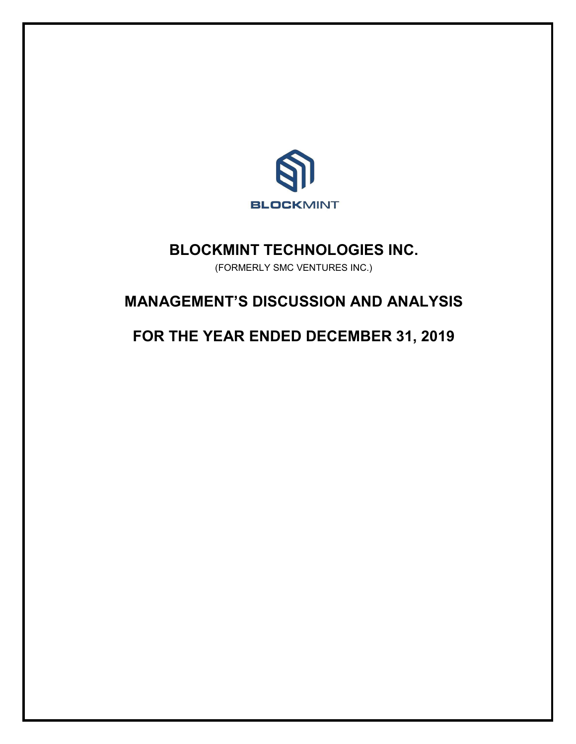

# **BLOCKMINT TECHNOLOGIES INC.**

(FORMERLY SMC VENTURES INC.)

# **MANAGEMENT'S DISCUSSION AND ANALYSIS**

**FOR THE YEAR ENDED DECEMBER 31, 2019**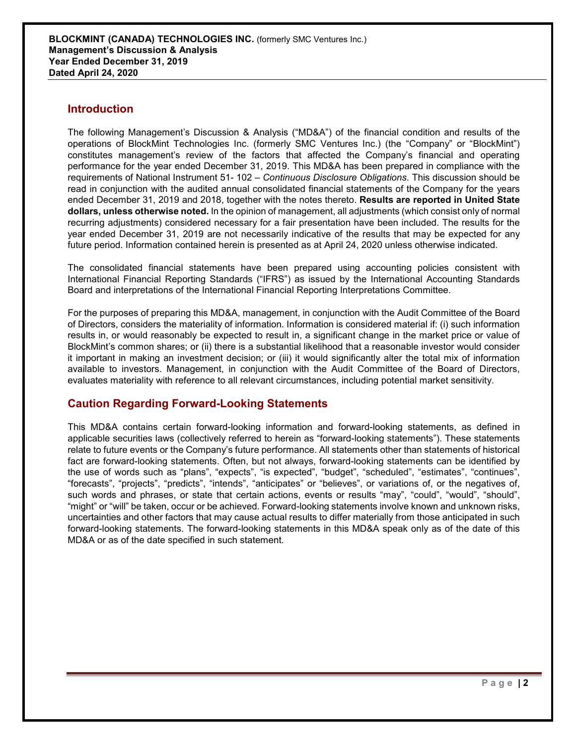# **Introduction**

The following Management's Discussion & Analysis ("MD&A") of the financial condition and results of the operations of BlockMint Technologies Inc. (formerly SMC Ventures Inc.) (the "Company" or "BlockMint") constitutes management's review of the factors that affected the Company's financial and operating performance for the year ended December 31, 2019. This MD&A has been prepared in compliance with the requirements of National Instrument 51- 102 – *Continuous Disclosure Obligations*. This discussion should be read in conjunction with the audited annual consolidated financial statements of the Company for the years ended December 31, 2019 and 2018, together with the notes thereto. **Results are reported in United State dollars, unless otherwise noted.** In the opinion of management, all adjustments (which consist only of normal recurring adjustments) considered necessary for a fair presentation have been included. The results for the year ended December 31, 2019 are not necessarily indicative of the results that may be expected for any future period. Information contained herein is presented as at April 24, 2020 unless otherwise indicated.

The consolidated financial statements have been prepared using accounting policies consistent with International Financial Reporting Standards ("IFRS") as issued by the International Accounting Standards Board and interpretations of the International Financial Reporting Interpretations Committee.

For the purposes of preparing this MD&A, management, in conjunction with the Audit Committee of the Board of Directors, considers the materiality of information. Information is considered material if: (i) such information results in, or would reasonably be expected to result in, a significant change in the market price or value of BlockMint's common shares; or (ii) there is a substantial likelihood that a reasonable investor would consider it important in making an investment decision; or (iii) it would significantly alter the total mix of information available to investors. Management, in conjunction with the Audit Committee of the Board of Directors, evaluates materiality with reference to all relevant circumstances, including potential market sensitivity.

# **Caution Regarding Forward-Looking Statements**

This MD&A contains certain forward-looking information and forward-looking statements, as defined in applicable securities laws (collectively referred to herein as "forward-looking statements"). These statements relate to future events or the Company's future performance. All statements other than statements of historical fact are forward-looking statements. Often, but not always, forward-looking statements can be identified by the use of words such as "plans", "expects", "is expected", "budget", "scheduled", "estimates", "continues", "forecasts", "projects", "predicts", "intends", "anticipates" or "believes", or variations of, or the negatives of, such words and phrases, or state that certain actions, events or results "may", "could", "would", "should", "might" or "will" be taken, occur or be achieved. Forward-looking statements involve known and unknown risks, uncertainties and other factors that may cause actual results to differ materially from those anticipated in such forward-looking statements. The forward-looking statements in this MD&A speak only as of the date of this MD&A or as of the date specified in such statement.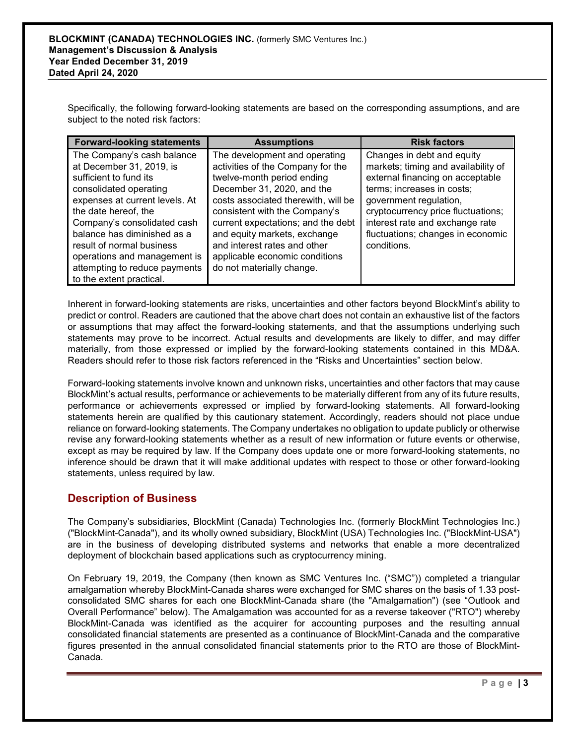Specifically, the following forward-looking statements are based on the corresponding assumptions, and are subject to the noted risk factors:

| <b>Forward-looking statements</b>                                                                                                                                                                                                                                                                                                                            | <b>Assumptions</b>                                                                                                                                                                                                                                                                                                                                                          | <b>Risk factors</b>                                                                                                                                                                                                                                                                        |
|--------------------------------------------------------------------------------------------------------------------------------------------------------------------------------------------------------------------------------------------------------------------------------------------------------------------------------------------------------------|-----------------------------------------------------------------------------------------------------------------------------------------------------------------------------------------------------------------------------------------------------------------------------------------------------------------------------------------------------------------------------|--------------------------------------------------------------------------------------------------------------------------------------------------------------------------------------------------------------------------------------------------------------------------------------------|
| The Company's cash balance<br>at December 31, 2019, is<br>sufficient to fund its<br>consolidated operating<br>expenses at current levels. At<br>the date hereof, the<br>Company's consolidated cash<br>balance has diminished as a<br>result of normal business<br>operations and management is<br>attempting to reduce payments<br>to the extent practical. | The development and operating<br>activities of the Company for the<br>twelve-month period ending<br>December 31, 2020, and the<br>costs associated therewith, will be<br>consistent with the Company's<br>current expectations; and the debt<br>and equity markets, exchange<br>and interest rates and other<br>applicable economic conditions<br>do not materially change. | Changes in debt and equity<br>markets; timing and availability of<br>external financing on acceptable<br>terms; increases in costs;<br>government regulation,<br>cryptocurrency price fluctuations;<br>interest rate and exchange rate<br>fluctuations; changes in economic<br>conditions. |

Inherent in forward-looking statements are risks, uncertainties and other factors beyond BlockMint's ability to predict or control. Readers are cautioned that the above chart does not contain an exhaustive list of the factors or assumptions that may affect the forward-looking statements, and that the assumptions underlying such statements may prove to be incorrect. Actual results and developments are likely to differ, and may differ materially, from those expressed or implied by the forward-looking statements contained in this MD&A. Readers should refer to those risk factors referenced in the "Risks and Uncertainties" section below.

Forward-looking statements involve known and unknown risks, uncertainties and other factors that may cause BlockMint's actual results, performance or achievements to be materially different from any of its future results, performance or achievements expressed or implied by forward-looking statements. All forward-looking statements herein are qualified by this cautionary statement. Accordingly, readers should not place undue reliance on forward-looking statements. The Company undertakes no obligation to update publicly or otherwise revise any forward-looking statements whether as a result of new information or future events or otherwise, except as may be required by law. If the Company does update one or more forward-looking statements, no inference should be drawn that it will make additional updates with respect to those or other forward-looking statements, unless required by law.

# **Description of Business**

The Company's subsidiaries, BlockMint (Canada) Technologies Inc. (formerly BlockMint Technologies Inc.) ("BlockMint-Canada"), and its wholly owned subsidiary, BlockMint (USA) Technologies Inc. ("BlockMint-USA") are in the business of developing distributed systems and networks that enable a more decentralized deployment of blockchain based applications such as cryptocurrency mining.

On February 19, 2019, the Company (then known as SMC Ventures Inc. ("SMC")) completed a triangular amalgamation whereby BlockMint-Canada shares were exchanged for SMC shares on the basis of 1.33 postconsolidated SMC shares for each one BlockMint-Canada share (the "Amalgamation") (see "Outlook and Overall Performance" below). The Amalgamation was accounted for as a reverse takeover ("RTO") whereby BlockMint-Canada was identified as the acquirer for accounting purposes and the resulting annual consolidated financial statements are presented as a continuance of BlockMint-Canada and the comparative figures presented in the annual consolidated financial statements prior to the RTO are those of BlockMint-Canada.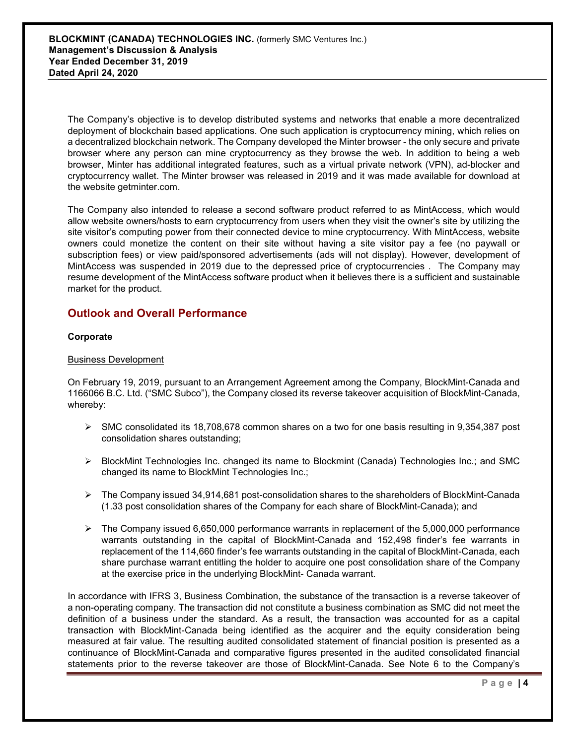The Company's objective is to develop distributed systems and networks that enable a more decentralized deployment of blockchain based applications. One such application is cryptocurrency mining, which relies on a decentralized blockchain network. The Company developed the Minter browser - the only secure and private browser where any person can mine cryptocurrency as they browse the web. In addition to being a web browser, Minter has additional integrated features, such as a virtual private network (VPN), ad-blocker and cryptocurrency wallet. The Minter browser was released in 2019 and it was made available for download at the website getminter.com.

The Company also intended to release a second software product referred to as MintAccess, which would allow website owners/hosts to earn cryptocurrency from users when they visit the owner's site by utilizing the site visitor's computing power from their connected device to mine cryptocurrency. With MintAccess, website owners could monetize the content on their site without having a site visitor pay a fee (no paywall or subscription fees) or view paid/sponsored advertisements (ads will not display). However, development of MintAccess was suspended in 2019 due to the depressed price of cryptocurrencies . The Company may resume development of the MintAccess software product when it believes there is a sufficient and sustainable market for the product.

# **Outlook and Overall Performance**

## **Corporate**

## Business Development

On February 19, 2019, pursuant to an Arrangement Agreement among the Company, BlockMint-Canada and 1166066 B.C. Ltd. ("SMC Subco"), the Company closed its reverse takeover acquisition of BlockMint-Canada, whereby:

- $\triangleright$  SMC consolidated its 18,708,678 common shares on a two for one basis resulting in 9,354,387 post consolidation shares outstanding;
- $\triangleright$  BlockMint Technologies Inc. changed its name to Blockmint (Canada) Technologies Inc.; and SMC changed its name to BlockMint Technologies Inc.;
- $\triangleright$  The Company issued 34,914,681 post-consolidation shares to the shareholders of BlockMint-Canada (1.33 post consolidation shares of the Company for each share of BlockMint-Canada); and
- $\triangleright$  The Company issued 6,650,000 performance warrants in replacement of the 5,000,000 performance warrants outstanding in the capital of BlockMint-Canada and 152,498 finder's fee warrants in replacement of the 114,660 finder's fee warrants outstanding in the capital of BlockMint-Canada, each share purchase warrant entitling the holder to acquire one post consolidation share of the Company at the exercise price in the underlying BlockMint- Canada warrant.

In accordance with IFRS 3, Business Combination, the substance of the transaction is a reverse takeover of a non-operating company. The transaction did not constitute a business combination as SMC did not meet the definition of a business under the standard. As a result, the transaction was accounted for as a capital transaction with BlockMint-Canada being identified as the acquirer and the equity consideration being measured at fair value. The resulting audited consolidated statement of financial position is presented as a continuance of BlockMint-Canada and comparative figures presented in the audited consolidated financial statements prior to the reverse takeover are those of BlockMint-Canada. See Note 6 to the Company's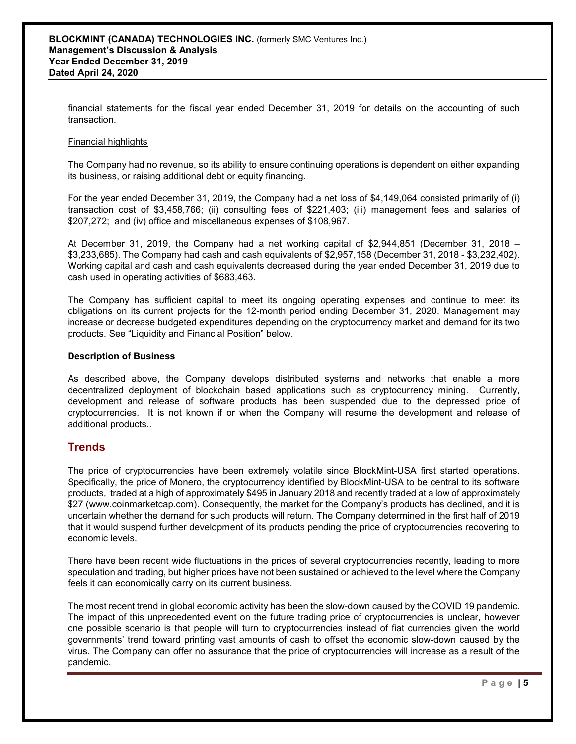financial statements for the fiscal year ended December 31, 2019 for details on the accounting of such transaction.

### Financial highlights

The Company had no revenue, so its ability to ensure continuing operations is dependent on either expanding its business, or raising additional debt or equity financing.

For the year ended December 31, 2019, the Company had a net loss of \$4,149,064 consisted primarily of (i) transaction cost of \$3,458,766; (ii) consulting fees of \$221,403; (iii) management fees and salaries of \$207,272; and (iv) office and miscellaneous expenses of \$108,967.

At December 31, 2019, the Company had a net working capital of \$2,944,851 (December 31, 2018 – \$3,233,685). The Company had cash and cash equivalents of \$2,957,158 (December 31, 2018 - \$3,232,402). Working capital and cash and cash equivalents decreased during the year ended December 31, 2019 due to cash used in operating activities of \$683,463.

The Company has sufficient capital to meet its ongoing operating expenses and continue to meet its obligations on its current projects for the 12-month period ending December 31, 2020. Management may increase or decrease budgeted expenditures depending on the cryptocurrency market and demand for its two products. See "Liquidity and Financial Position" below.

#### **Description of Business**

As described above, the Company develops distributed systems and networks that enable a more decentralized deployment of blockchain based applications such as cryptocurrency mining. Currently, development and release of software products has been suspended due to the depressed price of cryptocurrencies. It is not known if or when the Company will resume the development and release of additional products..

# **Trends**

The price of cryptocurrencies have been extremely volatile since BlockMint-USA first started operations. Specifically, the price of Monero, the cryptocurrency identified by BlockMint-USA to be central to its software products, traded at a high of approximately \$495 in January 2018 and recently traded at a low of approximately \$27 (www.coinmarketcap.com). Consequently, the market for the Company's products has declined, and it is uncertain whether the demand for such products will return. The Company determined in the first half of 2019 that it would suspend further development of its products pending the price of cryptocurrencies recovering to economic levels.

There have been recent wide fluctuations in the prices of several cryptocurrencies recently, leading to more speculation and trading, but higher prices have not been sustained or achieved to the level where the Company feels it can economically carry on its current business.

The most recent trend in global economic activity has been the slow-down caused by the COVID 19 pandemic. The impact of this unprecedented event on the future trading price of cryptocurrencies is unclear, however one possible scenario is that people will turn to cryptocurrencies instead of fiat currencies given the world governments' trend toward printing vast amounts of cash to offset the economic slow-down caused by the virus. The Company can offer no assurance that the price of cryptocurrencies will increase as a result of the pandemic.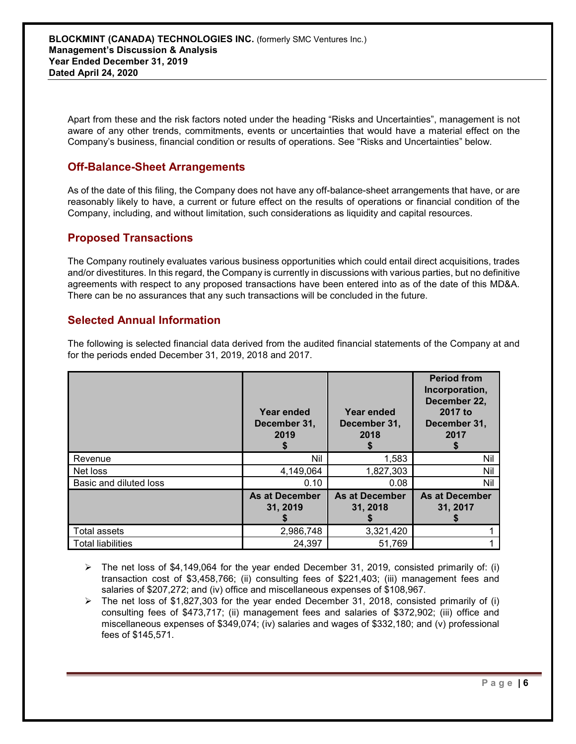Apart from these and the risk factors noted under the heading "Risks and Uncertainties", management is not aware of any other trends, commitments, events or uncertainties that would have a material effect on the Company's business, financial condition or results of operations. See "Risks and Uncertainties" below.

# **Off-Balance-Sheet Arrangements**

As of the date of this filing, the Company does not have any off-balance-sheet arrangements that have, or are reasonably likely to have, a current or future effect on the results of operations or financial condition of the Company, including, and without limitation, such considerations as liquidity and capital resources.

# **Proposed Transactions**

The Company routinely evaluates various business opportunities which could entail direct acquisitions, trades and/or divestitures. In this regard, the Company is currently in discussions with various parties, but no definitive agreements with respect to any proposed transactions have been entered into as of the date of this MD&A. There can be no assurances that any such transactions will be concluded in the future.

# **Selected Annual Information**

The following is selected financial data derived from the audited financial statements of the Company at and for the periods ended December 31, 2019, 2018 and 2017.

|                          | Year ended<br>December 31,<br>2019 | Year ended<br>December 31,<br>2018 | <b>Period from</b><br>Incorporation,<br>December 22,<br>2017 to<br>December 31,<br>2017 |
|--------------------------|------------------------------------|------------------------------------|-----------------------------------------------------------------------------------------|
| Revenue                  | Nil                                | 1,583                              | Nil                                                                                     |
| Net loss                 | 4,149,064                          | 1,827,303                          | Nil                                                                                     |
| Basic and diluted loss   | 0.10                               | 0.08                               | Nil                                                                                     |
|                          | <b>As at December</b><br>31, 2019  | <b>As at December</b><br>31, 2018  | <b>As at December</b><br>31, 2017                                                       |
| Total assets             | 2,986,748                          | 3,321,420                          |                                                                                         |
| <b>Total liabilities</b> | 24,397                             | 51,769                             |                                                                                         |

- $\triangleright$  The net loss of \$4,149,064 for the year ended December 31, 2019, consisted primarily of: (i) transaction cost of \$3,458,766; (ii) consulting fees of \$221,403; (iii) management fees and salaries of \$207,272; and (iv) office and miscellaneous expenses of \$108,967.
- $\triangleright$  The net loss of \$1,827,303 for the year ended December 31, 2018, consisted primarily of (i) consulting fees of \$473,717; (ii) management fees and salaries of \$372,902; (iii) office and miscellaneous expenses of \$349,074; (iv) salaries and wages of \$332,180; and (v) professional fees of \$145,571.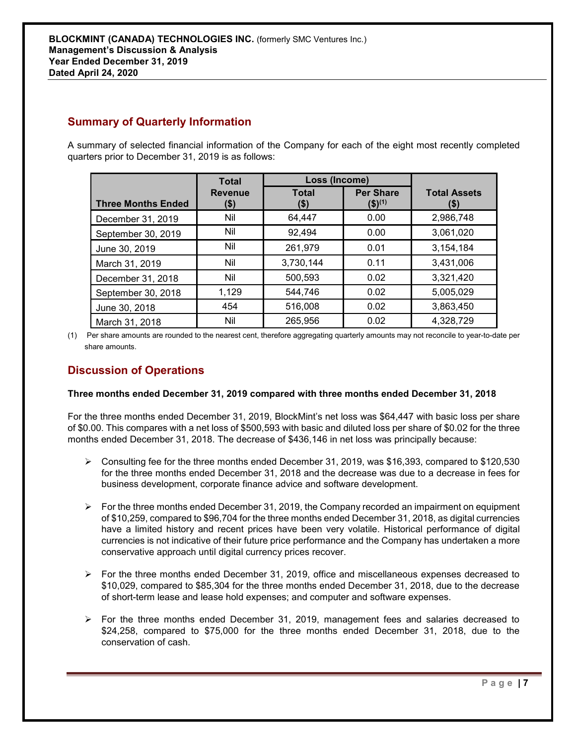# **Summary of Quarterly Information**

A summary of selected financial information of the Company for each of the eight most recently completed quarters prior to December 31, 2019 is as follows:

|                           | Total                  | Loss (Income)        |                                            |                             |
|---------------------------|------------------------|----------------------|--------------------------------------------|-----------------------------|
| <b>Three Months Ended</b> | <b>Revenue</b><br>(\$) | <b>Total</b><br>(\$) | <b>Per Share</b><br>$($ \$) <sup>(1)</sup> | <b>Total Assets</b><br>(\$) |
| December 31, 2019         | Nil                    | 64,447               | 0.00                                       | 2,986,748                   |
| September 30, 2019        | Nil                    | 92,494               | 0.00                                       | 3,061,020                   |
| June 30, 2019             | Nil                    | 261,979              | 0.01                                       | 3,154,184                   |
| March 31, 2019            | Nil                    | 3,730,144            | 0.11                                       | 3,431,006                   |
| December 31, 2018         | Nil                    | 500,593              | 0.02                                       | 3,321,420                   |
| September 30, 2018        | 1,129                  | 544,746              | 0.02                                       | 5,005,029                   |
| June 30, 2018             | 454                    | 516,008              | 0.02                                       | 3,863,450                   |
| March 31, 2018            | Nil                    | 265,956              | 0.02                                       | 4,328,729                   |

(1) Per share amounts are rounded to the nearest cent, therefore aggregating quarterly amounts may not reconcile to year-to-date per share amounts.

# **Discussion of Operations**

# **Three months ended December 31, 2019 compared with three months ended December 31, 2018**

For the three months ended December 31, 2019, BlockMint's net loss was \$64,447 with basic loss per share of \$0.00. This compares with a net loss of \$500,593 with basic and diluted loss per share of \$0.02 for the three months ended December 31, 2018. The decrease of \$436,146 in net loss was principally because:

- $\triangleright$  Consulting fee for the three months ended December 31, 2019, was \$16,393, compared to \$120,530 for the three months ended December 31, 2018 and the decrease was due to a decrease in fees for business development, corporate finance advice and software development.
- $\triangleright$  For the three months ended December 31, 2019, the Company recorded an impairment on equipment of \$10,259, compared to \$96,704 for the three months ended December 31, 2018, as digital currencies have a limited history and recent prices have been very volatile. Historical performance of digital currencies is not indicative of their future price performance and the Company has undertaken a more conservative approach until digital currency prices recover.
- $\triangleright$  For the three months ended December 31, 2019, office and miscellaneous expenses decreased to \$10,029, compared to \$85,304 for the three months ended December 31, 2018, due to the decrease of short-term lease and lease hold expenses; and computer and software expenses.
- $\triangleright$  For the three months ended December 31, 2019, management fees and salaries decreased to \$24,258, compared to \$75,000 for the three months ended December 31, 2018, due to the conservation of cash.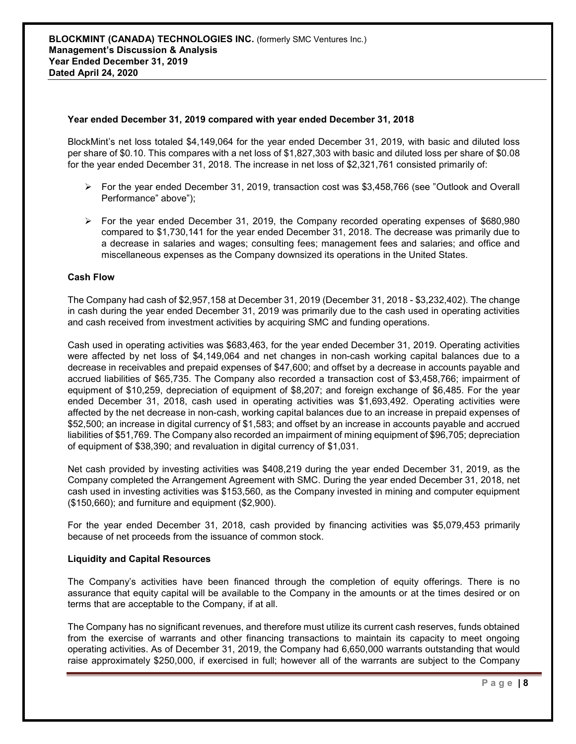### **Year ended December 31, 2019 compared with year ended December 31, 2018**

BlockMint's net loss totaled \$4,149,064 for the year ended December 31, 2019, with basic and diluted loss per share of \$0.10. This compares with a net loss of \$1,827,303 with basic and diluted loss per share of \$0.08 for the year ended December 31, 2018. The increase in net loss of \$2,321,761 consisted primarily of:

- $\triangleright$  For the year ended December 31, 2019, transaction cost was \$3,458,766 (see "Outlook and Overall Performance" above");
- $\triangleright$  For the year ended December 31, 2019, the Company recorded operating expenses of \$680,980 compared to \$1,730,141 for the year ended December 31, 2018. The decrease was primarily due to a decrease in salaries and wages; consulting fees; management fees and salaries; and office and miscellaneous expenses as the Company downsized its operations in the United States.

#### **Cash Flow**

The Company had cash of \$2,957,158 at December 31, 2019 (December 31, 2018 - \$3,232,402). The change in cash during the year ended December 31, 2019 was primarily due to the cash used in operating activities and cash received from investment activities by acquiring SMC and funding operations.

Cash used in operating activities was \$683,463, for the year ended December 31, 2019. Operating activities were affected by net loss of \$4,149,064 and net changes in non-cash working capital balances due to a decrease in receivables and prepaid expenses of \$47,600; and offset by a decrease in accounts payable and accrued liabilities of \$65,735. The Company also recorded a transaction cost of \$3,458,766; impairment of equipment of \$10,259, depreciation of equipment of \$8,207; and foreign exchange of \$6,485. For the year ended December 31, 2018, cash used in operating activities was \$1,693,492. Operating activities were affected by the net decrease in non-cash, working capital balances due to an increase in prepaid expenses of \$52,500; an increase in digital currency of \$1,583; and offset by an increase in accounts payable and accrued liabilities of \$51,769. The Company also recorded an impairment of mining equipment of \$96,705; depreciation of equipment of \$38,390; and revaluation in digital currency of \$1,031.

Net cash provided by investing activities was \$408,219 during the year ended December 31, 2019, as the Company completed the Arrangement Agreement with SMC. During the year ended December 31, 2018, net cash used in investing activities was \$153,560, as the Company invested in mining and computer equipment (\$150,660); and furniture and equipment (\$2,900).

For the year ended December 31, 2018, cash provided by financing activities was \$5,079,453 primarily because of net proceeds from the issuance of common stock.

#### **Liquidity and Capital Resources**

The Company's activities have been financed through the completion of equity offerings. There is no assurance that equity capital will be available to the Company in the amounts or at the times desired or on terms that are acceptable to the Company, if at all.

The Company has no significant revenues, and therefore must utilize its current cash reserves, funds obtained from the exercise of warrants and other financing transactions to maintain its capacity to meet ongoing operating activities. As of December 31, 2019, the Company had 6,650,000 warrants outstanding that would raise approximately \$250,000, if exercised in full; however all of the warrants are subject to the Company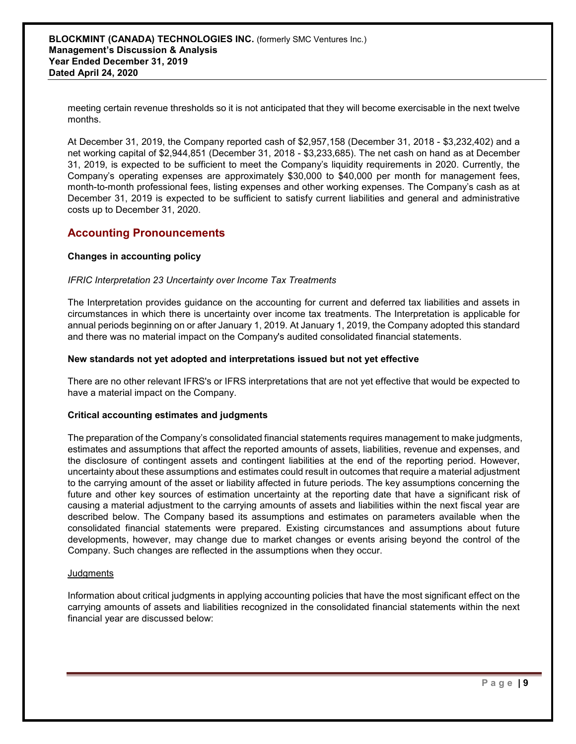meeting certain revenue thresholds so it is not anticipated that they will become exercisable in the next twelve months.

At December 31, 2019, the Company reported cash of \$2,957,158 (December 31, 2018 - \$3,232,402) and a net working capital of \$2,944,851 (December 31, 2018 - \$3,233,685). The net cash on hand as at December 31, 2019, is expected to be sufficient to meet the Company's liquidity requirements in 2020. Currently, the Company's operating expenses are approximately \$30,000 to \$40,000 per month for management fees, month-to-month professional fees, listing expenses and other working expenses. The Company's cash as at December 31, 2019 is expected to be sufficient to satisfy current liabilities and general and administrative costs up to December 31, 2020.

# **Accounting Pronouncements**

## **Changes in accounting policy**

### *IFRIC Interpretation 23 Uncertainty over Income Tax Treatments*

The Interpretation provides guidance on the accounting for current and deferred tax liabilities and assets in circumstances in which there is uncertainty over income tax treatments. The Interpretation is applicable for annual periods beginning on or after January 1, 2019. At January 1, 2019, the Company adopted this standard and there was no material impact on the Company's audited consolidated financial statements.

## **New standards not yet adopted and interpretations issued but not yet effective**

There are no other relevant IFRS's or IFRS interpretations that are not yet effective that would be expected to have a material impact on the Company.

### **Critical accounting estimates and judgments**

The preparation of the Company's consolidated financial statements requires management to make judgments, estimates and assumptions that affect the reported amounts of assets, liabilities, revenue and expenses, and the disclosure of contingent assets and contingent liabilities at the end of the reporting period. However, uncertainty about these assumptions and estimates could result in outcomes that require a material adjustment to the carrying amount of the asset or liability affected in future periods. The key assumptions concerning the future and other key sources of estimation uncertainty at the reporting date that have a significant risk of causing a material adjustment to the carrying amounts of assets and liabilities within the next fiscal year are described below. The Company based its assumptions and estimates on parameters available when the consolidated financial statements were prepared. Existing circumstances and assumptions about future developments, however, may change due to market changes or events arising beyond the control of the Company. Such changes are reflected in the assumptions when they occur.

### **Judgments**

Information about critical judgments in applying accounting policies that have the most significant effect on the carrying amounts of assets and liabilities recognized in the consolidated financial statements within the next financial year are discussed below: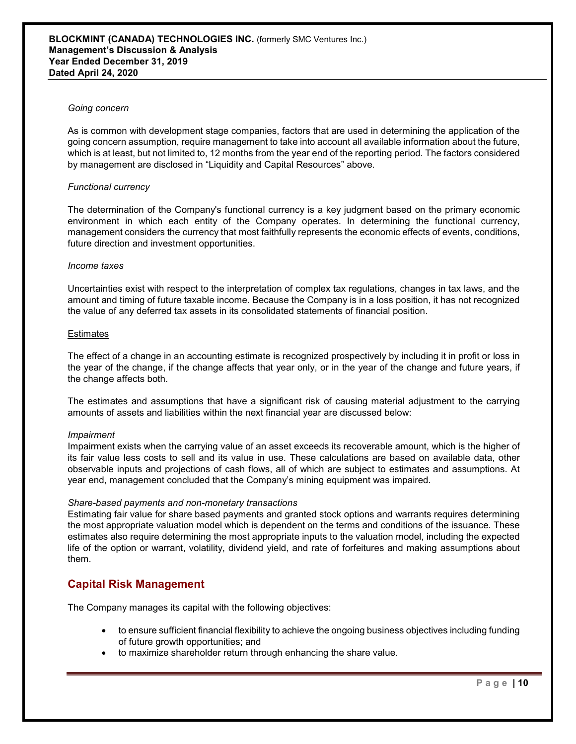#### *Going concern*

As is common with development stage companies, factors that are used in determining the application of the going concern assumption, require management to take into account all available information about the future, which is at least, but not limited to, 12 months from the year end of the reporting period. The factors considered by management are disclosed in "Liquidity and Capital Resources" above.

### *Functional currency*

The determination of the Company's functional currency is a key judgment based on the primary economic environment in which each entity of the Company operates. In determining the functional currency, management considers the currency that most faithfully represents the economic effects of events, conditions, future direction and investment opportunities.

#### *Income taxes*

Uncertainties exist with respect to the interpretation of complex tax regulations, changes in tax laws, and the amount and timing of future taxable income. Because the Company is in a loss position, it has not recognized the value of any deferred tax assets in its consolidated statements of financial position.

#### **Estimates**

The effect of a change in an accounting estimate is recognized prospectively by including it in profit or loss in the year of the change, if the change affects that year only, or in the year of the change and future years, if the change affects both.

The estimates and assumptions that have a significant risk of causing material adjustment to the carrying amounts of assets and liabilities within the next financial year are discussed below:

### *Impairment*

Impairment exists when the carrying value of an asset exceeds its recoverable amount, which is the higher of its fair value less costs to sell and its value in use. These calculations are based on available data, other observable inputs and projections of cash flows, all of which are subject to estimates and assumptions. At year end, management concluded that the Company's mining equipment was impaired.

### *Share-based payments and non-monetary transactions*

Estimating fair value for share based payments and granted stock options and warrants requires determining the most appropriate valuation model which is dependent on the terms and conditions of the issuance. These estimates also require determining the most appropriate inputs to the valuation model, including the expected life of the option or warrant, volatility, dividend yield, and rate of forfeitures and making assumptions about them.

# **Capital Risk Management**

The Company manages its capital with the following objectives:

- to ensure sufficient financial flexibility to achieve the ongoing business objectives including funding of future growth opportunities; and
- to maximize shareholder return through enhancing the share value.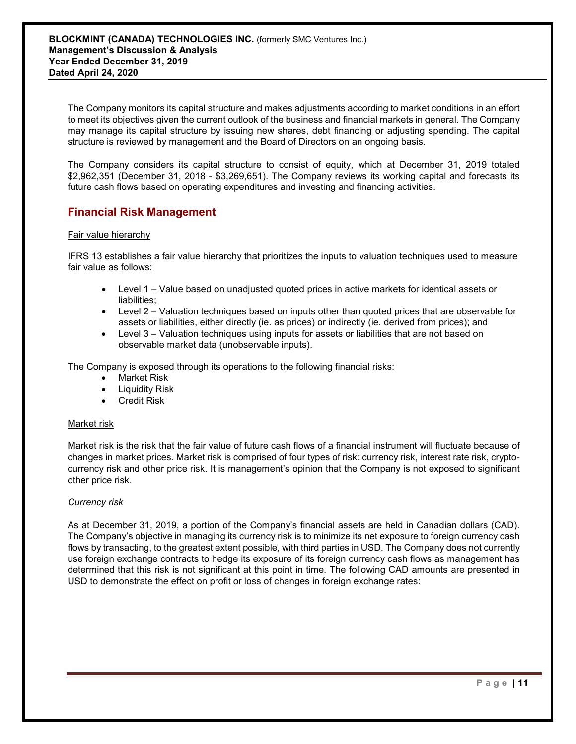The Company monitors its capital structure and makes adjustments according to market conditions in an effort to meet its objectives given the current outlook of the business and financial markets in general. The Company may manage its capital structure by issuing new shares, debt financing or adjusting spending. The capital structure is reviewed by management and the Board of Directors on an ongoing basis.

The Company considers its capital structure to consist of equity, which at December 31, 2019 totaled \$2,962,351 (December 31, 2018 - \$3,269,651). The Company reviews its working capital and forecasts its future cash flows based on operating expenditures and investing and financing activities.

# **Financial Risk Management**

## Fair value hierarchy

IFRS 13 establishes a fair value hierarchy that prioritizes the inputs to valuation techniques used to measure fair value as follows:

- Level 1 Value based on unadjusted quoted prices in active markets for identical assets or liabilities;
- Level 2 Valuation techniques based on inputs other than quoted prices that are observable for assets or liabilities, either directly (ie. as prices) or indirectly (ie. derived from prices); and
- Level 3 Valuation techniques using inputs for assets or liabilities that are not based on observable market data (unobservable inputs).

The Company is exposed through its operations to the following financial risks:

- Market Risk
- Liquidity Risk
- Credit Risk

### Market risk

Market risk is the risk that the fair value of future cash flows of a financial instrument will fluctuate because of changes in market prices. Market risk is comprised of four types of risk: currency risk, interest rate risk, cryptocurrency risk and other price risk. It is management's opinion that the Company is not exposed to significant other price risk.

### *Currency risk*

As at December 31, 2019, a portion of the Company's financial assets are held in Canadian dollars (CAD). The Company's objective in managing its currency risk is to minimize its net exposure to foreign currency cash flows by transacting, to the greatest extent possible, with third parties in USD. The Company does not currently use foreign exchange contracts to hedge its exposure of its foreign currency cash flows as management has determined that this risk is not significant at this point in time. The following CAD amounts are presented in USD to demonstrate the effect on profit or loss of changes in foreign exchange rates: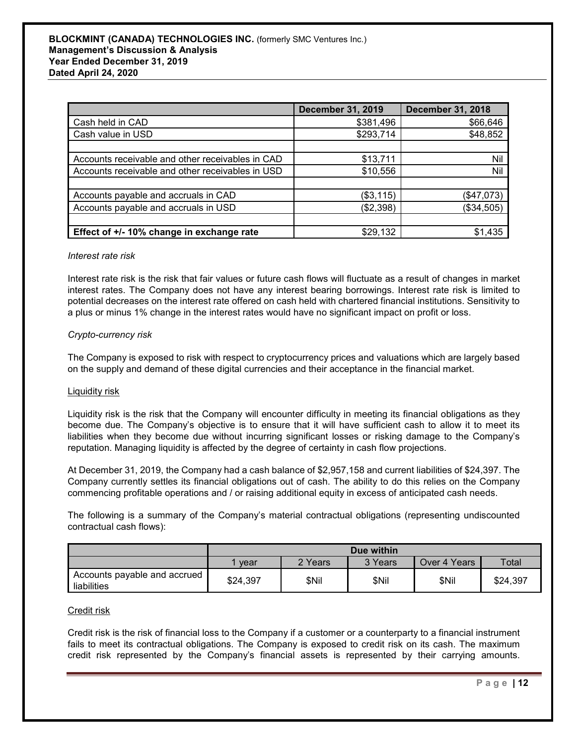|                                                  | <b>December 31, 2019</b> | <b>December 31, 2018</b> |
|--------------------------------------------------|--------------------------|--------------------------|
| Cash held in CAD                                 | \$381,496                | \$66,646                 |
| Cash value in USD                                | \$293,714                | \$48,852                 |
|                                                  |                          |                          |
| Accounts receivable and other receivables in CAD | \$13,711                 | Nil                      |
| Accounts receivable and other receivables in USD | \$10,556                 | Nil                      |
|                                                  |                          |                          |
| Accounts payable and accruals in CAD             | (\$3,115)                | (\$47,073)               |
| Accounts payable and accruals in USD             | (\$2,398)                | (\$34,505)               |
|                                                  |                          |                          |
| Effect of +/- 10% change in exchange rate        | \$29,132                 | \$1,435                  |

#### *Interest rate risk*

Interest rate risk is the risk that fair values or future cash flows will fluctuate as a result of changes in market interest rates. The Company does not have any interest bearing borrowings. Interest rate risk is limited to potential decreases on the interest rate offered on cash held with chartered financial institutions. Sensitivity to a plus or minus 1% change in the interest rates would have no significant impact on profit or loss.

### *Crypto-currency risk*

The Company is exposed to risk with respect to cryptocurrency prices and valuations which are largely based on the supply and demand of these digital currencies and their acceptance in the financial market.

#### Liquidity risk

Liquidity risk is the risk that the Company will encounter difficulty in meeting its financial obligations as they become due. The Company's objective is to ensure that it will have sufficient cash to allow it to meet its liabilities when they become due without incurring significant losses or risking damage to the Company's reputation. Managing liquidity is affected by the degree of certainty in cash flow projections.

At December 31, 2019, the Company had a cash balance of \$2,957,158 and current liabilities of \$24,397. The Company currently settles its financial obligations out of cash. The ability to do this relies on the Company commencing profitable operations and / or raising additional equity in excess of anticipated cash needs.

The following is a summary of the Company's material contractual obligations (representing undiscounted contractual cash flows):

|                                             | Due within                                          |       |       |       |          |  |
|---------------------------------------------|-----------------------------------------------------|-------|-------|-------|----------|--|
|                                             | 2 Years<br>3 Years<br>Over 4 Years<br>Total<br>vear |       |       |       |          |  |
| Accounts payable and accrued<br>liabilities | \$24,397                                            | \$Nil | \$Nil | \$Nil | \$24,397 |  |

#### Credit risk

Credit risk is the risk of financial loss to the Company if a customer or a counterparty to a financial instrument fails to meet its contractual obligations. The Company is exposed to credit risk on its cash. The maximum credit risk represented by the Company's financial assets is represented by their carrying amounts.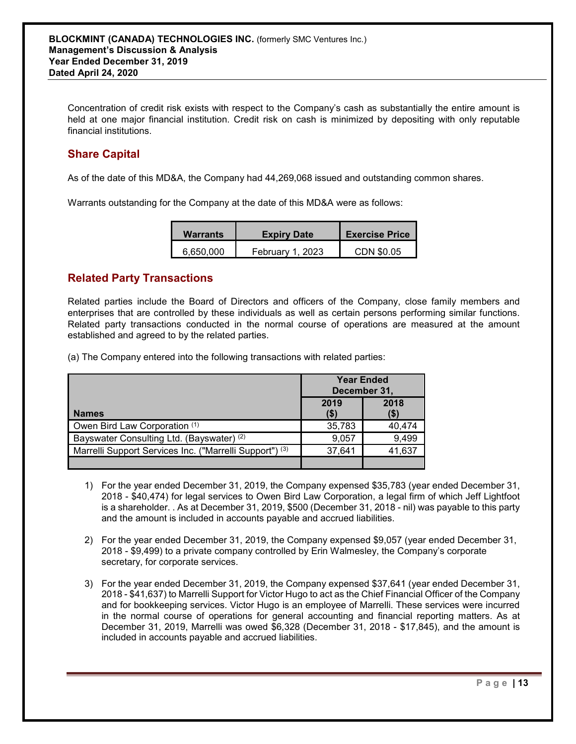Concentration of credit risk exists with respect to the Company's cash as substantially the entire amount is held at one major financial institution. Credit risk on cash is minimized by depositing with only reputable financial institutions.

# **Share Capital**

As of the date of this MD&A, the Company had 44,269,068 issued and outstanding common shares.

Warrants outstanding for the Company at the date of this MD&A were as follows:

| <b>Warrants</b> | <b>Expiry Date</b> | <b>Exercise Price</b> |
|-----------------|--------------------|-----------------------|
| 6,650,000       | February 1, 2023   | CDN \$0.05            |

# **Related Party Transactions**

Related parties include the Board of Directors and officers of the Company, close family members and enterprises that are controlled by these individuals as well as certain persons performing similar functions. Related party transactions conducted in the normal course of operations are measured at the amount established and agreed to by the related parties.

(a) The Company entered into the following transactions with related parties:

|                                                                    | <b>Year Ended</b><br>December 31, |        |  |
|--------------------------------------------------------------------|-----------------------------------|--------|--|
| <b>Names</b>                                                       | 2019<br>2018<br>(\$)<br>(\$)      |        |  |
| Owen Bird Law Corporation (1)                                      | 35,783                            | 40.474 |  |
| Bayswater Consulting Ltd. (Bayswater) (2)                          | 9.057                             | 9,499  |  |
| Marrelli Support Services Inc. ("Marrelli Support") <sup>(3)</sup> | 37,641                            | 41,637 |  |
|                                                                    |                                   |        |  |

- 1) For the year ended December 31, 2019, the Company expensed \$35,783 (year ended December 31, 2018 - \$40,474) for legal services to Owen Bird Law Corporation, a legal firm of which Jeff Lightfoot is a shareholder. . As at December 31, 2019, \$500 (December 31, 2018 - nil) was payable to this party and the amount is included in accounts payable and accrued liabilities.
- 2) For the year ended December 31, 2019, the Company expensed \$9,057 (year ended December 31, 2018 - \$9,499) to a private company controlled by Erin Walmesley, the Company's corporate secretary, for corporate services.
- 3) For the year ended December 31, 2019, the Company expensed \$37,641 (year ended December 31, 2018 - \$41,637) to Marrelli Support for Victor Hugo to act as the Chief Financial Officer of the Company and for bookkeeping services. Victor Hugo is an employee of Marrelli. These services were incurred in the normal course of operations for general accounting and financial reporting matters. As at December 31, 2019, Marrelli was owed \$6,328 (December 31, 2018 - \$17,845), and the amount is included in accounts payable and accrued liabilities.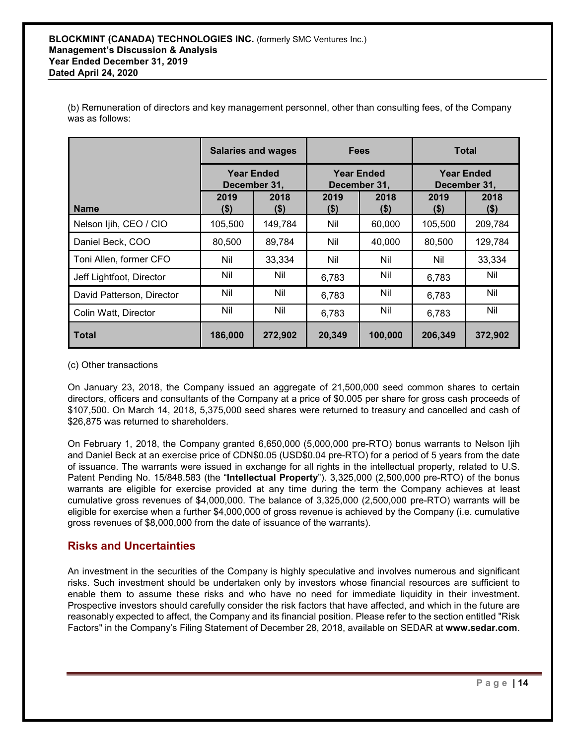(b) Remuneration of directors and key management personnel, other than consulting fees, of the Company was as follows:

|                           | <b>Salaries and wages</b>         |                 | <b>Fees</b>                       |                 | <b>Total</b>                      |                 |
|---------------------------|-----------------------------------|-----------------|-----------------------------------|-----------------|-----------------------------------|-----------------|
|                           | <b>Year Ended</b><br>December 31, |                 | <b>Year Ended</b><br>December 31, |                 | <b>Year Ended</b><br>December 31, |                 |
| <b>Name</b>               | 2019<br>(\$)                      | 2018<br>$($ \$) | 2019<br>$($ \$)                   | 2018<br>$($ \$) | 2019<br>(\$)                      | 2018<br>$($ \$) |
| Nelson Ijih, CEO / CIO    | 105,500                           | 149,784         | Nil                               | 60,000          | 105,500                           | 209,784         |
| Daniel Beck, COO          | 80,500                            | 89,784          | Nil                               | 40,000          | 80,500                            | 129,784         |
| Toni Allen, former CFO    | Nil                               | 33,334          | Nil                               | Nil             | Nil                               | 33,334          |
| Jeff Lightfoot, Director  | Nil                               | Nil             | 6,783                             | Nil             | 6,783                             | Nil             |
| David Patterson, Director | Nil                               | Nil             | 6,783                             | Nil             | 6,783                             | Nil             |
| Colin Watt, Director      | Nil                               | Nil             | 6,783                             | Nil             | 6,783                             | Nil             |
| <b>Total</b>              | 186,000                           | 272,902         | 20,349                            | 100,000         | 206,349                           | 372,902         |

(c) Other transactions

On January 23, 2018, the Company issued an aggregate of 21,500,000 seed common shares to certain directors, officers and consultants of the Company at a price of \$0.005 per share for gross cash proceeds of \$107,500. On March 14, 2018, 5,375,000 seed shares were returned to treasury and cancelled and cash of \$26,875 was returned to shareholders.

On February 1, 2018, the Company granted 6,650,000 (5,000,000 pre-RTO) bonus warrants to Nelson Ijih and Daniel Beck at an exercise price of CDN\$0.05 (USD\$0.04 pre-RTO) for a period of 5 years from the date of issuance. The warrants were issued in exchange for all rights in the intellectual property, related to U.S. Patent Pending No. 15/848.583 (the "**Intellectual Property**"). 3,325,000 (2,500,000 pre-RTO) of the bonus warrants are eligible for exercise provided at any time during the term the Company achieves at least cumulative gross revenues of \$4,000,000. The balance of 3,325,000 (2,500,000 pre-RTO) warrants will be eligible for exercise when a further \$4,000,000 of gross revenue is achieved by the Company (i.e. cumulative gross revenues of \$8,000,000 from the date of issuance of the warrants).

# **Risks and Uncertainties**

An investment in the securities of the Company is highly speculative and involves numerous and significant risks. Such investment should be undertaken only by investors whose financial resources are sufficient to enable them to assume these risks and who have no need for immediate liquidity in their investment. Prospective investors should carefully consider the risk factors that have affected, and which in the future are reasonably expected to affect, the Company and its financial position. Please refer to the section entitled "Risk Factors" in the Company's Filing Statement of December 28, 2018, available on SEDAR at **www.sedar.com**.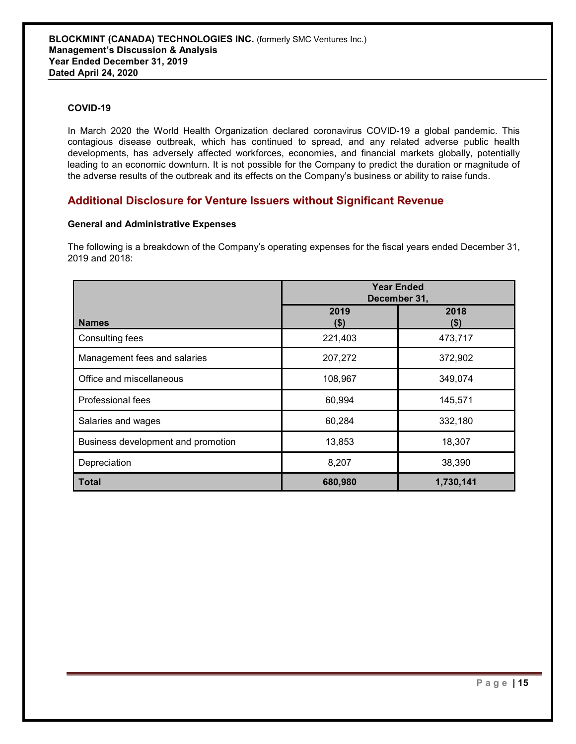## **COVID-19**

In March 2020 the World Health Organization declared coronavirus COVID-19 a global pandemic. This contagious disease outbreak, which has continued to spread, and any related adverse public health developments, has adversely affected workforces, economies, and financial markets globally, potentially leading to an economic downturn. It is not possible for the Company to predict the duration or magnitude of the adverse results of the outbreak and its effects on the Company's business or ability to raise funds.

# **Additional Disclosure for Venture Issuers without Significant Revenue**

## **General and Administrative Expenses**

The following is a breakdown of the Company's operating expenses for the fiscal years ended December 31, 2019 and 2018:

|                                    | <b>Year Ended</b><br>December 31, |                 |  |
|------------------------------------|-----------------------------------|-----------------|--|
| <b>Names</b>                       | 2019<br>$($ \$)                   | 2018<br>$($ \$) |  |
| Consulting fees                    | 221,403                           | 473,717         |  |
| Management fees and salaries       | 207,272                           | 372,902         |  |
| Office and miscellaneous           | 108,967                           | 349,074         |  |
| Professional fees                  | 60,994                            | 145,571         |  |
| Salaries and wages                 | 60,284                            | 332,180         |  |
| Business development and promotion | 13,853                            | 18,307          |  |
| Depreciation                       | 8,207                             | 38,390          |  |
| <b>Total</b>                       | 680,980                           | 1,730,141       |  |